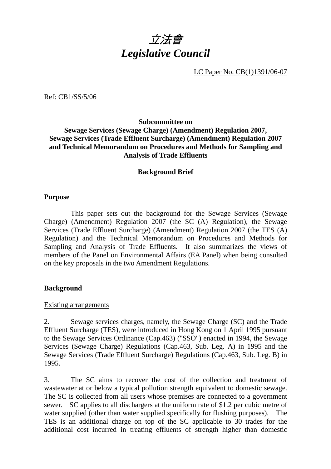

LC Paper No. CB(1)1391/06-07

Ref: CB1/SS/5/06

## **Subcommittee on Sewage Services (Sewage Charge) (Amendment) Regulation 2007, Sewage Services (Trade Effluent Surcharge) (Amendment) Regulation 2007 and Technical Memorandum on Procedures and Methods for Sampling and Analysis of Trade Effluents**

### **Background Brief**

#### **Purpose**

1 This paper sets out the background for the Sewage Services (Sewage Charge) (Amendment) Regulation 2007 (the SC (A) Regulation), the Sewage Services (Trade Effluent Surcharge) (Amendment) Regulation 2007 (the TES (A) Regulation) and the Technical Memorandum on Procedures and Methods for Sampling and Analysis of Trade Effluents. It also summarizes the views of members of the Panel on Environmental Affairs (EA Panel) when being consulted on the key proposals in the two Amendment Regulations.

#### **Background**

#### Existing arrangements

2. Sewage services charges, namely, the Sewage Charge (SC) and the Trade Effluent Surcharge (TES), were introduced in Hong Kong on 1 April 1995 pursuant to the Sewage Services Ordinance (Cap.463) ("SSO") enacted in 1994, the Sewage Services (Sewage Charge) Regulations (Cap.463, Sub. Leg. A) in 1995 and the Sewage Services (Trade Effluent Surcharge) Regulations (Cap.463, Sub. Leg. B) in 1995.

3. The SC aims to recover the cost of the collection and treatment of wastewater at or below a typical pollution strength equivalent to domestic sewage. The SC is collected from all users whose premises are connected to a government sewer. SC applies to all dischargers at the uniform rate of \$1.2 per cubic metre of water supplied (other than water supplied specifically for flushing purposes). The TES is an additional charge on top of the SC applicable to 30 trades for the additional cost incurred in treating effluents of strength higher than domestic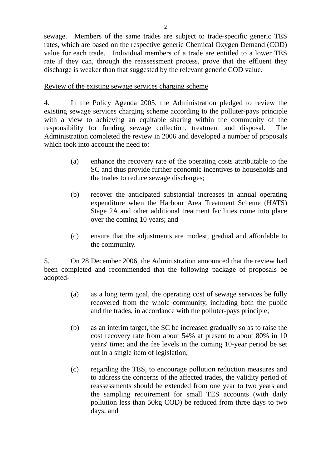sewage. Members of the same trades are subject to trade-specific generic TES rates, which are based on the respective generic Chemical Oxygen Demand (COD) value for each trade. Individual members of a trade are entitled to a lower TES rate if they can, through the reassessment process, prove that the effluent they discharge is weaker than that suggested by the relevant generic COD value.

## Review of the existing sewage services charging scheme

4. In the Policy Agenda 2005, the Administration pledged to review the existing sewage services charging scheme according to the polluter-pays principle with a view to achieving an equitable sharing within the community of the responsibility for funding sewage collection, treatment and disposal. The Administration completed the review in 2006 and developed a number of proposals which took into account the need to:

- (a) enhance the recovery rate of the operating costs attributable to the SC and thus provide further economic incentives to households and the trades to reduce sewage discharges;
- (b) recover the anticipated substantial increases in annual operating expenditure when the Harbour Area Treatment Scheme (HATS) Stage 2A and other additional treatment facilities come into place over the coming 10 years; and
- (c) ensure that the adjustments are modest, gradual and affordable to the community.

5. On 28 December 2006, the Administration announced that the review had been completed and recommended that the following package of proposals be adopted-

- (a) as a long term goal, the operating cost of sewage services be fully recovered from the whole community, including both the public and the trades, in accordance with the polluter-pays principle;
- (b) as an interim target, the SC be increased gradually so as to raise the cost recovery rate from about 54% at present to about 80% in 10 years' time; and the fee levels in the coming 10-year period be set out in a single item of legislation;
- (c) regarding the TES, to encourage pollution reduction measures and to address the concerns of the affected trades, the validity period of reassessments should be extended from one year to two years and the sampling requirement for small TES accounts (with daily pollution less than 50kg COD) be reduced from three days to two days; and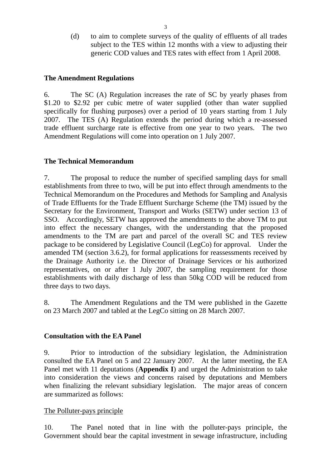(d) to aim to complete surveys of the quality of effluents of all trades subject to the TES within 12 months with a view to adjusting their generic COD values and TES rates with effect from 1 April 2008.

#### **The Amendment Regulations**

6. The SC (A) Regulation increases the rate of SC by yearly phases from \$1.20 to \$2.92 per cubic metre of water supplied (other than water supplied specifically for flushing purposes) over a period of 10 years starting from 1 July 2007. The TES (A) Regulation extends the period during which a re-assessed trade effluent surcharge rate is effective from one year to two years. The two Amendment Regulations will come into operation on 1 July 2007.

### **The Technical Memorandum**

7. The proposal to reduce the number of specified sampling days for small establishments from three to two, will be put into effect through amendments to the Technical Memorandum on the Procedures and Methods for Sampling and Analysis of Trade Effluents for the Trade Effluent Surcharge Scheme (the TM) issued by the Secretary for the Environment, Transport and Works (SETW) under section 13 of SSO. Accordingly, SETW has approved the amendments to the above TM to put into effect the necessary changes, with the understanding that the proposed amendments to the TM are part and parcel of the overall SC and TES review package to be considered by Legislative Council (LegCo) for approval. Under the amended TM (section 3.6.2), for formal applications for reassessments received by the Drainage Authority i.e. the Director of Drainage Services or his authorized representatives, on or after 1 July 2007, the sampling requirement for those establishments with daily discharge of less than 50kg COD will be reduced from three days to two days.

8. The Amendment Regulations and the TM were published in the Gazette on 23 March 2007 and tabled at the LegCo sitting on 28 March 2007.

### **Consultation with the EA Panel**

9. Prior to introduction of the subsidiary legislation, the Administration consulted the EA Panel on 5 and 22 January 2007. At the latter meeting, the EA Panel met with 11 deputations (**Appendix I**) and urged the Administration to take into consideration the views and concerns raised by deputations and Members when finalizing the relevant subsidiary legislation. The major areas of concern are summarized as follows:

### The Polluter-pays principle

10. The Panel noted that in line with the polluter-pays principle, the Government should bear the capital investment in sewage infrastructure, including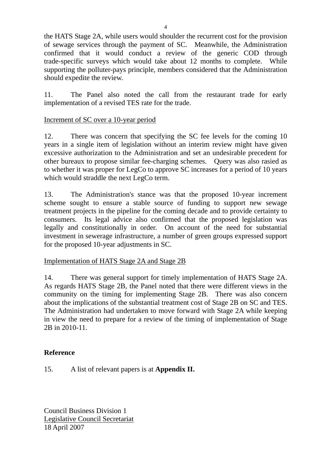the HATS Stage 2A, while users would shoulder the recurrent cost for the provision of sewage services through the payment of SC. Meanwhile, the Administration confirmed that it would conduct a review of the generic COD through trade-specific surveys which would take about 12 months to complete. While supporting the polluter-pays principle, members considered that the Administration should expedite the review.

11. The Panel also noted the call from the restaurant trade for early implementation of a revised TES rate for the trade.

## Increment of SC over a 10-year period

12. There was concern that specifying the SC fee levels for the coming 10 years in a single item of legislation without an interim review might have given excessive authorization to the Administration and set an undesirable precedent for other bureaux to propose similar fee-charging schemes. Query was also rasied as to whether it was proper for LegCo to approve SC increases for a period of 10 years which would straddle the next LegCo term.

13. The Administration's stance was that the proposed 10-year increment scheme sought to ensure a stable source of funding to support new sewage treatment projects in the pipeline for the coming decade and to provide certainty to consumers. Its legal advice also confirmed that the proposed legislation was legally and constitutionally in order. On account of the need for substantial investment in sewerage infrastructure, a number of green groups expressed support for the proposed 10-year adjustments in SC.

# Implementation of HATS Stage 2A and Stage 2B

14. There was general support for timely implementation of HATS Stage 2A. As regards HATS Stage 2B, the Panel noted that there were different views in the community on the timing for implementing Stage 2B. There was also concern about the implications of the substantial treatment cost of Stage 2B on SC and TES. The Administration had undertaken to move forward with Stage 2A while keeping in view the need to prepare for a review of the timing of implementation of Stage 2B in 2010-11.

## **Reference**

# 15. A list of relevant papers is at **Appendix II.**

Council Business Division 1 Legislative Council Secretariat 18 April 2007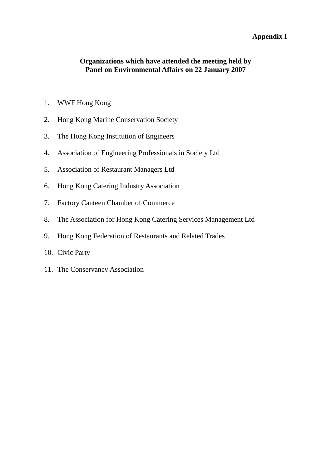## **Appendix I**

## **Organizations which have attended the meeting held by Panel on Environmental Affairs on 22 January 2007**

- 1. WWF Hong Kong
- 2. Hong Kong Marine Conservation Society
- 3. The Hong Kong Institution of Engineers
- 4. Association of Engineering Professionals in Society Ltd
- 5. Association of Restaurant Managers Ltd
- 6. Hong Kong Catering Industry Association
- 7. Factory Canteen Chamber of Commerce
- 8. The Association for Hong Kong Catering Services Management Ltd
- 9. Hong Kong Federation of Restaurants and Related Trades
- 10. Civic Party
- 11. The Conservancy Association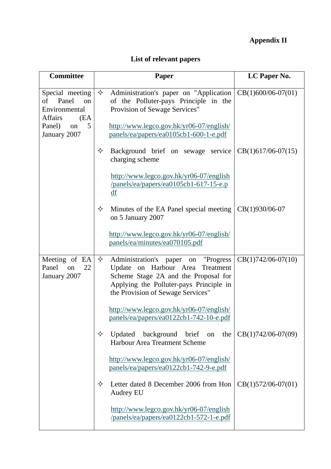# **Appendix II**

# **List of relevant papers**

| <b>Committee</b>                                                                                                 | <b>Paper</b>                                                                                                                                                                                                   | LC Paper No.         |
|------------------------------------------------------------------------------------------------------------------|----------------------------------------------------------------------------------------------------------------------------------------------------------------------------------------------------------------|----------------------|
| Special meeting<br>of Panel<br>on<br>Environmental<br><b>Affairs</b><br>(EA<br>5<br>Panel)<br>on<br>January 2007 | ✧<br>Administration's paper on "Application"<br>of the Polluter-pays Principle in the<br>Provision of Sewage Services"<br>http://www.legco.gov.hk/yr06-07/english/<br>panels/ea/papers/ea0105cb1-600-1-e.pdf   | $CB(1)600/06-07(01)$ |
|                                                                                                                  | ✧<br>Background brief on sewage service<br>charging scheme                                                                                                                                                     | $CB(1)617/06-07(15)$ |
|                                                                                                                  | http://www.legco.gov.hk/yr06-07/english<br>/panels/ea/papers/ea0105cb1-617-15-e.p<br>df                                                                                                                        |                      |
|                                                                                                                  | ✧<br>Minutes of the EA Panel special meeting<br>on 5 January 2007                                                                                                                                              | CB(1)930/06-07       |
|                                                                                                                  | http://www.legco.gov.hk/yr06-07/english/<br>panels/ea/minutes/ea070105.pdf                                                                                                                                     |                      |
| Meeting of EA<br>Panel<br>on<br>22<br>January 2007                                                               | Administration's paper<br>✧<br>"Progress"<br>on<br>Update on Harbour Area<br>Treatment<br>Scheme Stage 2A and the Proposal for<br>Applying the Polluter-pays Principle in<br>the Provision of Sewage Services" | $CB(1)742/06-07(10)$ |
|                                                                                                                  | http://www.legco.gov.hk/yr06-07/english/<br>panels/ea/papers/ea0122cb1-742-10-e.pdf                                                                                                                            |                      |
|                                                                                                                  | Updated<br>background<br>brief<br>✧<br>the<br>on<br>Harbour Area Treatment Scheme                                                                                                                              | CB(1)742/06-07(09)   |
|                                                                                                                  | http://www.legco.gov.hk/yr06-07/english/<br>panels/ea/papers/ea0122cb1-742-9-e.pdf                                                                                                                             |                      |
|                                                                                                                  | Letter dated 8 December 2006 from Hon<br>✧<br><b>Audrey EU</b>                                                                                                                                                 | $CB(1)572/06-07(01)$ |
|                                                                                                                  | http://www.legco.gov.hk/yr06-07/english<br>/panels/ea/papers/ea0122cb1-572-1-e.pdf                                                                                                                             |                      |